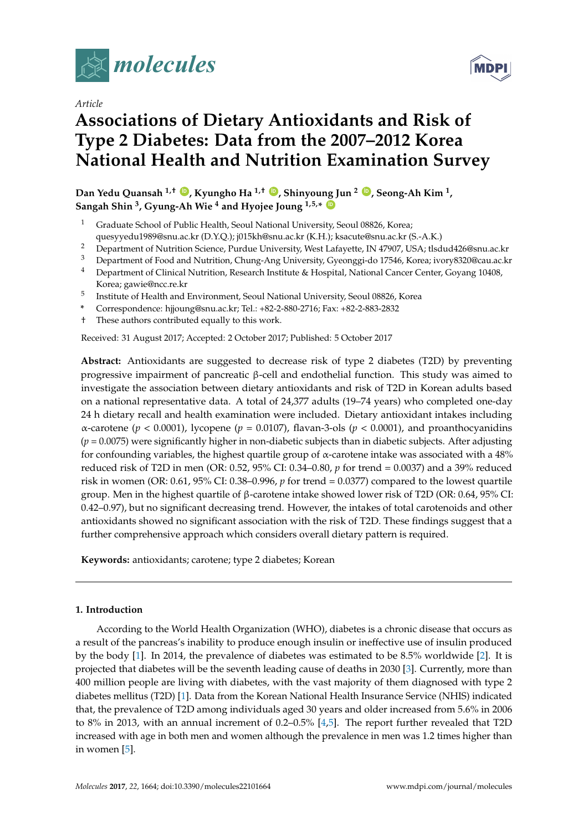

*Article*

# MDF

# **Associations of Dietary Antioxidants and Risk of Type 2 Diabetes: Data from the 2007–2012 Korea National Health and Nutrition Examination Survey**

**Dan Yedu Quansah 1,† [ID](https://orcid.org/0000-0002-3091-9400) , Kyungho Ha 1,† [ID](https://orcid.org/0000-0002-0397-2070) , Shinyoung Jun <sup>2</sup> [ID](https://orcid.org/0000-0003-2452-4709) , Seong-Ah Kim <sup>1</sup> , Sangah Shin <sup>3</sup> , Gyung-Ah Wie <sup>4</sup> and Hyojee Joung 1,5,\* [ID](https://orcid.org/0000-0003-1182-7786)**

- <sup>1</sup> Graduate School of Public Health, Seoul National University, Seoul 08826, Korea; quesyyedu1989@snu.ac.kr (D.Y.Q.); j015kh@snu.ac.kr (K.H.); ksacute@snu.ac.kr (S.-A.K.)
- <sup>2</sup> Department of Nutrition Science, Purdue University, West Lafayette, IN 47907, USA; tlsdud426@snu.ac.kr<br><sup>3</sup> Department of East and Nutrition, Chung Ang University, Cyconogi de 17546, Kerea ivery<sup>920@sou</sup>.calc
- <sup>3</sup> Department of Food and Nutrition, Chung-Ang University, Gyeonggi-do 17546, Korea; ivory8320@cau.ac.kr
- <sup>4</sup> Department of Clinical Nutrition, Research Institute & Hospital, National Cancer Center, Goyang 10408, Korea; gawie@ncc.re.kr
- 5 Institute of Health and Environment, Seoul National University, Seoul 08826, Korea
- **\*** Correspondence: hjjoung@snu.ac.kr; Tel.: +82-2-880-2716; Fax: +82-2-883-2832
- † These authors contributed equally to this work.

Received: 31 August 2017; Accepted: 2 October 2017; Published: 5 October 2017

**Abstract:** Antioxidants are suggested to decrease risk of type 2 diabetes (T2D) by preventing progressive impairment of pancreatic β-cell and endothelial function. This study was aimed to investigate the association between dietary antioxidants and risk of T2D in Korean adults based on a national representative data. A total of 24,377 adults (19–74 years) who completed one-day 24 h dietary recall and health examination were included. Dietary antioxidant intakes including  $\alpha$ -carotene ( $p < 0.0001$ ), lycopene ( $p = 0.0107$ ), flavan-3-ols ( $p < 0.0001$ ), and proanthocyanidins (*p* = 0.0075) were significantly higher in non-diabetic subjects than in diabetic subjects. After adjusting for confounding variables, the highest quartile group of  $\alpha$ -carotene intake was associated with a 48% reduced risk of T2D in men (OR: 0.52, 95% CI: 0.34–0.80, *p* for trend = 0.0037) and a 39% reduced risk in women (OR: 0.61, 95% CI: 0.38–0.996, *p* for trend = 0.0377) compared to the lowest quartile group. Men in the highest quartile of β-carotene intake showed lower risk of T2D (OR: 0.64, 95% CI: 0.42–0.97), but no significant decreasing trend. However, the intakes of total carotenoids and other antioxidants showed no significant association with the risk of T2D. These findings suggest that a further comprehensive approach which considers overall dietary pattern is required.

**Keywords:** antioxidants; carotene; type 2 diabetes; Korean

# **1. Introduction**

According to the World Health Organization (WHO), diabetes is a chronic disease that occurs as a result of the pancreas's inability to produce enough insulin or ineffective use of insulin produced by the body [\[1\]](#page-11-0). In 2014, the prevalence of diabetes was estimated to be 8.5% worldwide [\[2\]](#page-11-1). It is projected that diabetes will be the seventh leading cause of deaths in 2030 [\[3\]](#page-11-2). Currently, more than 400 million people are living with diabetes, with the vast majority of them diagnosed with type 2 diabetes mellitus (T2D) [\[1\]](#page-11-0). Data from the Korean National Health Insurance Service (NHIS) indicated that, the prevalence of T2D among individuals aged 30 years and older increased from 5.6% in 2006 to 8% in 2013, with an annual increment of 0.2–0.5% [\[4,](#page-11-3)[5\]](#page-11-4). The report further revealed that T2D increased with age in both men and women although the prevalence in men was 1.2 times higher than in women [\[5\]](#page-11-4).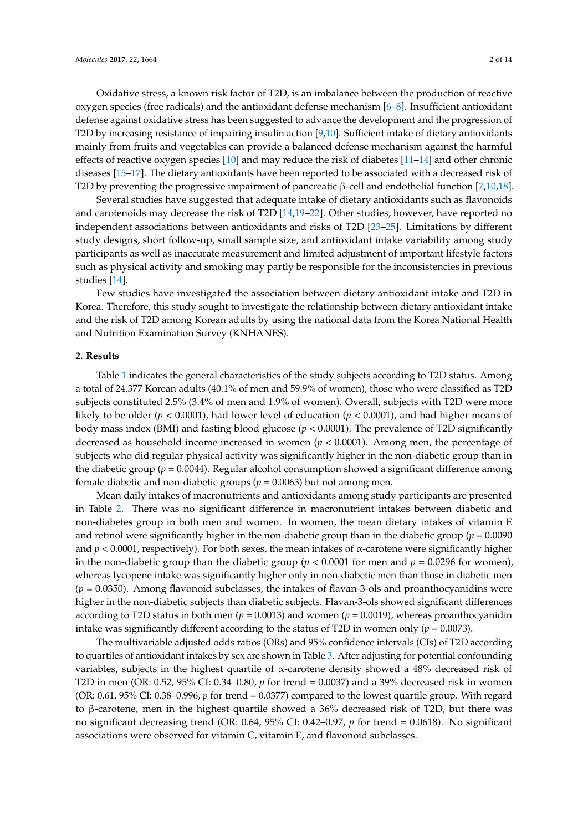T2D by increasing resistance of impairing insulin action [\[9](#page-11-7)[,10\]](#page-11-8). Sufficient intake of dietary antioxidants mainly from fruits and vegetables can provide a balanced defense mechanism against the harmful effects of reactive oxygen species [\[10\]](#page-11-8) and may reduce the risk of diabetes [\[11](#page-11-9)[–14\]](#page-11-10) and other chronic diseases [\[15–](#page-11-11)[17\]](#page-11-12). The dietary antioxidants have been reported to be associated with a decreased risk of T2D by preventing the progressive impairment of pancreatic β-cell and endothelial function [\[7](#page-11-13)[,10](#page-11-8)[,18\]](#page-12-0).

Several studies have suggested that adequate intake of dietary antioxidants such as flavonoids and carotenoids may decrease the risk of T2D [\[14,](#page-11-10)[19–](#page-12-1)[22\]](#page-12-2). Other studies, however, have reported no independent associations between antioxidants and risks of T2D [\[23–](#page-12-3)[25\]](#page-12-4). Limitations by different study designs, short follow-up, small sample size, and antioxidant intake variability among study participants as well as inaccurate measurement and limited adjustment of important lifestyle factors such as physical activity and smoking may partly be responsible for the inconsistencies in previous studies [\[14\]](#page-11-10).

Few studies have investigated the association between dietary antioxidant intake and T2D in Korea. Therefore, this study sought to investigate the relationship between dietary antioxidant intake and the risk of T2D among Korean adults by using the national data from the Korea National Health and Nutrition Examination Survey (KNHANES).

#### **2. Results**

Table [1](#page-3-0) indicates the general characteristics of the study subjects according to T2D status. Among a total of 24,377 Korean adults (40.1% of men and 59.9% of women), those who were classified as T2D subjects constituted 2.5% (3.4% of men and 1.9% of women). Overall, subjects with T2D were more likely to be older (*p* < 0.0001), had lower level of education (*p* < 0.0001), and had higher means of body mass index (BMI) and fasting blood glucose (*p* < 0.0001). The prevalence of T2D significantly decreased as household income increased in women (*p* < 0.0001). Among men, the percentage of subjects who did regular physical activity was significantly higher in the non-diabetic group than in the diabetic group ( $p = 0.0044$ ). Regular alcohol consumption showed a significant difference among female diabetic and non-diabetic groups ( $p = 0.0063$ ) but not among men.

Mean daily intakes of macronutrients and antioxidants among study participants are presented in Table [2.](#page-4-0) There was no significant difference in macronutrient intakes between diabetic and non-diabetes group in both men and women. In women, the mean dietary intakes of vitamin E and retinol were significantly higher in the non-diabetic group than in the diabetic group (*p* = 0.0090 and *p* < 0.0001, respectively). For both sexes, the mean intakes of α-carotene were significantly higher in the non-diabetic group than the diabetic group ( $p < 0.0001$  for men and  $p = 0.0296$  for women), whereas lycopene intake was significantly higher only in non-diabetic men than those in diabetic men (*p* = 0.0350). Among flavonoid subclasses, the intakes of flavan-3-ols and proanthocyanidins were higher in the non-diabetic subjects than diabetic subjects. Flavan-3-ols showed significant differences according to T2D status in both men ( $p = 0.0013$ ) and women ( $p = 0.0019$ ), whereas proanthocyanidin intake was significantly different according to the status of T2D in women only ( $p = 0.0073$ ).

The multivariable adjusted odds ratios (ORs) and 95% confidence intervals (CIs) of T2D according to quartiles of antioxidant intakes by sex are shown in Table [3.](#page-5-0) After adjusting for potential confounding variables, subjects in the highest quartile of α-carotene density showed a 48% decreased risk of T2D in men (OR: 0.52, 95% CI: 0.34–0.80, *p* for trend = 0.0037) and a 39% decreased risk in women (OR: 0.61, 95% CI: 0.38–0.996, *p* for trend = 0.0377) compared to the lowest quartile group. With regard to β-carotene, men in the highest quartile showed a 36% decreased risk of T2D, but there was no significant decreasing trend (OR: 0.64, 95% CI: 0.42–0.97, *p* for trend = 0.0618). No significant associations were observed for vitamin C, vitamin E, and flavonoid subclasses.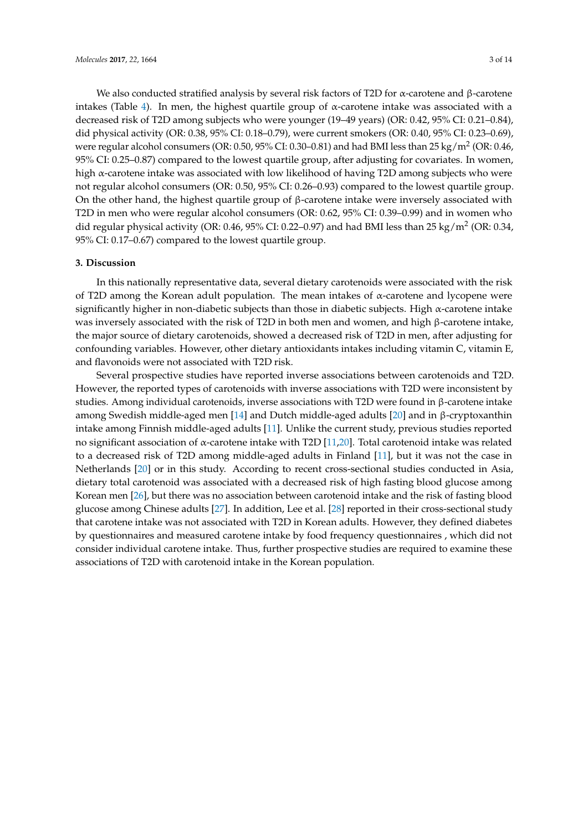We also conducted stratified analysis by several risk factors of T2D for α-carotene and β-carotene intakes (Table [4\)](#page-7-0). In men, the highest quartile group of  $α$ -carotene intake was associated with a decreased risk of T2D among subjects who were younger (19–49 years) (OR: 0.42, 95% CI: 0.21–0.84), did physical activity (OR: 0.38, 95% CI: 0.18–0.79), were current smokers (OR: 0.40, 95% CI: 0.23–0.69), were regular alcohol consumers (OR: 0.50, 95% CI: 0.30–0.81) and had BMI less than 25 kg/m<sup>2</sup> (OR: 0.46, 95% CI: 0.25–0.87) compared to the lowest quartile group, after adjusting for covariates. In women, high  $\alpha$ -carotene intake was associated with low likelihood of having T2D among subjects who were not regular alcohol consumers (OR: 0.50, 95% CI: 0.26–0.93) compared to the lowest quartile group. On the other hand, the highest quartile group of  $\beta$ -carotene intake were inversely associated with T2D in men who were regular alcohol consumers (OR: 0.62, 95% CI: 0.39–0.99) and in women who did regular physical activity (OR: 0.46, 95% CI: 0.22–0.97) and had BMI less than 25 kg/m<sup>2</sup> (OR: 0.34, 95% CI: 0.17–0.67) compared to the lowest quartile group.

#### **3. Discussion**

In this nationally representative data, several dietary carotenoids were associated with the risk of T2D among the Korean adult population. The mean intakes of α-carotene and lycopene were significantly higher in non-diabetic subjects than those in diabetic subjects. High  $\alpha$ -carotene intake was inversely associated with the risk of T2D in both men and women, and high β-carotene intake, the major source of dietary carotenoids, showed a decreased risk of T2D in men, after adjusting for confounding variables. However, other dietary antioxidants intakes including vitamin C, vitamin E, and flavonoids were not associated with T2D risk.

Several prospective studies have reported inverse associations between carotenoids and T2D. However, the reported types of carotenoids with inverse associations with T2D were inconsistent by studies. Among individual carotenoids, inverse associations with T2D were found in β-carotene intake among Swedish middle-aged men [\[14\]](#page-11-10) and Dutch middle-aged adults [\[20\]](#page-12-5) and in β-cryptoxanthin intake among Finnish middle-aged adults [\[11\]](#page-11-9). Unlike the current study, previous studies reported no significant association of α-carotene intake with T2D [\[11,](#page-11-9)[20\]](#page-12-5). Total carotenoid intake was related to a decreased risk of T2D among middle-aged adults in Finland [\[11\]](#page-11-9), but it was not the case in Netherlands [\[20\]](#page-12-5) or in this study. According to recent cross-sectional studies conducted in Asia, dietary total carotenoid was associated with a decreased risk of high fasting blood glucose among Korean men [\[26\]](#page-12-6), but there was no association between carotenoid intake and the risk of fasting blood glucose among Chinese adults [\[27\]](#page-12-7). In addition, Lee et al. [\[28\]](#page-12-8) reported in their cross-sectional study that carotene intake was not associated with T2D in Korean adults. However, they defined diabetes by questionnaires and measured carotene intake by food frequency questionnaires , which did not consider individual carotene intake. Thus, further prospective studies are required to examine these associations of T2D with carotenoid intake in the Korean population.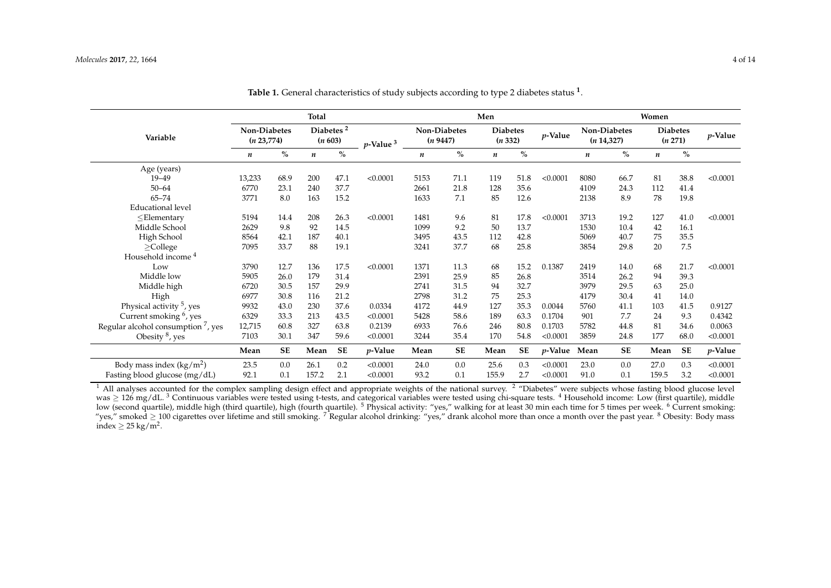|                                                | <b>Total</b>                |           |                                  |           |                | Men  |                          |                  |                            |                 | Women                       |           |                            |           |            |
|------------------------------------------------|-----------------------------|-----------|----------------------------------|-----------|----------------|------|--------------------------|------------------|----------------------------|-----------------|-----------------------------|-----------|----------------------------|-----------|------------|
| Variable                                       | Non-Diabetes<br>(n 23, 774) |           | Diabetes <sup>2</sup><br>(n 603) |           | $p$ -Value $3$ |      | Non-Diabetes<br>(n 9447) |                  | <b>Diabetes</b><br>(n 332) |                 | Non-Diabetes<br>(n 14, 327) |           | <b>Diabetes</b><br>(n 271) |           | $p$ -Value |
|                                                | $\boldsymbol{n}$            | $\%$      | n                                | $\%$      |                | n    | $\%$                     | $\boldsymbol{n}$ | $\%$                       |                 | n                           | $\%$      | $\boldsymbol{n}$           | $\%$      |            |
| Age (years)                                    |                             |           |                                  |           |                |      |                          |                  |                            |                 |                             |           |                            |           |            |
| $19 - 49$                                      | 13,233                      | 68.9      | 200                              | 47.1      | < 0.0001       | 5153 | 71.1                     | 119              | 51.8                       | < 0.0001        | 8080                        | 66.7      | 81                         | 38.8      | < 0.0001   |
| $50 - 64$                                      | 6770                        | 23.1      | 240                              | 37.7      |                | 2661 | 21.8                     | 128              | 35.6                       |                 | 4109                        | 24.3      | 112                        | 41.4      |            |
| $65 - 74$                                      | 3771                        | 8.0       | 163                              | 15.2      |                | 1633 | 7.1                      | 85               | 12.6                       |                 | 2138                        | 8.9       | 78                         | 19.8      |            |
| <b>Educational</b> level                       |                             |           |                                  |           |                |      |                          |                  |                            |                 |                             |           |                            |           |            |
| $\leq$ Elementary                              | 5194                        | 14.4      | 208                              | 26.3      | < 0.0001       | 1481 | 9.6                      | 81               | 17.8                       | < 0.0001        | 3713                        | 19.2      | 127                        | 41.0      | < 0.0001   |
| Middle School                                  | 2629                        | 9.8       | 92                               | 14.5      |                | 1099 | 9.2                      | 50               | 13.7                       |                 | 1530                        | 10.4      | 42                         | 16.1      |            |
| High School                                    | 8564                        | 42.1      | 187                              | 40.1      |                | 3495 | 43.5                     | 112              | 42.8                       |                 | 5069                        | 40.7      | 75                         | 35.5      |            |
| $\geq$ College                                 | 7095                        | 33.7      | 88                               | 19.1      |                | 3241 | 37.7                     | 68               | 25.8                       |                 | 3854                        | 29.8      | 20                         | 7.5       |            |
| Household income <sup>4</sup>                  |                             |           |                                  |           |                |      |                          |                  |                            |                 |                             |           |                            |           |            |
| Low                                            | 3790                        | 12.7      | 136                              | 17.5      | < 0.0001       | 1371 | 11.3                     | 68               | 15.2                       | 0.1387          | 2419                        | 14.0      | 68                         | 21.7      | < 0.0001   |
| Middle low                                     | 5905                        | 26.0      | 179                              | 31.4      |                | 2391 | 25.9                     | 85               | 26.8                       |                 | 3514                        | 26.2      | 94                         | 39.3      |            |
| Middle high                                    | 6720                        | 30.5      | 157                              | 29.9      |                | 2741 | 31.5                     | 94               | 32.7                       |                 | 3979                        | 29.5      | 63                         | 25.0      |            |
| High                                           | 6977                        | 30.8      | 116                              | 21.2      |                | 2798 | 31.2                     | 75               | 25.3                       |                 | 4179                        | 30.4      | 41                         | 14.0      |            |
| Physical activity <sup>5</sup> , yes           | 9932                        | 43.0      | 230                              | 37.6      | 0.0334         | 4172 | 44.9                     | 127              | 35.3                       | 0.0044          | 5760                        | 41.1      | 103                        | 41.5      | 0.9127     |
| Current smoking $6$ , yes                      | 6329                        | 33.3      | 213                              | 43.5      | < 0.0001       | 5428 | 58.6                     | 189              | 63.3                       | 0.1704          | 901                         | 7.7       | 24                         | 9.3       | 0.4342     |
| Regular alcohol consumption <sup>7</sup> , yes | 12,715                      | 60.8      | 327                              | 63.8      | 0.2139         | 6933 | 76.6                     | 246              | 80.8                       | 0.1703          | 5782                        | 44.8      | 81                         | 34.6      | 0.0063     |
| Obesity $8$ , yes                              | 7103                        | 30.1      | 347                              | 59.6      | < 0.0001       | 3244 | 35.4                     | 170              | 54.8                       | < 0.0001        | 3859                        | 24.8      | 177                        | 68.0      | < 0.0001   |
|                                                | Mean                        | <b>SE</b> | Mean                             | <b>SE</b> | $p$ -Value     | Mean | SE                       | Mean             | SЕ                         | <i>p</i> -Value | Mean                        | <b>SE</b> | Mean                       | <b>SE</b> | $p$ -Value |
| Body mass index $(kg/m^2)$                     | 23.5                        | 0.0       | 26.1                             | 0.2       | < 0.0001       | 24.0 | 0.0                      | 25.6             | 0.3                        | < 0.0001        | 23.0                        | 0.0       | 27.0                       | 0.3       | < 0.0001   |
| Fasting blood glucose (mg/dL)                  | 92.1                        | 0.1       | 157.2                            | 2.1       | < 0.0001       | 93.2 | 0.1                      | 155.9            | 2.7                        | < 0.0001        | 91.0                        | 0.1       | 159.5                      | 3.2       | < 0.0001   |

**Table 1.** General characteristics of study subjects according to type 2 diabetes status **<sup>1</sup>** .

<span id="page-3-0"></span> $1$  All analyses accounted for the complex sampling design effect and appropriate weights of the national survey.  $2$  "Diabetes" were subjects whose fasting blood glucose level was ≥ 126 mg/dL.<sup>3</sup> Continuous variables were tested using t-tests, and categorical variables were tested using chi-square tests. <sup>4</sup> Household income: Low (first quartile), middle low (second quartile), middle high (third quartile), high (fourth quartile). <sup>5</sup> Physical activity: "yes," walking for at least 30 min each time for 5 times per week. <sup>6</sup> Current smoking: "yes," smoked ≥ 100 cigarettes over lifetime and still smoking. <sup>7</sup> Regular alcohol drinking: "yes," drank alcohol more than once a month over the past year. <sup>8</sup> Obesity: Body mass index  $\geq 25$  kg/m<sup>2</sup>.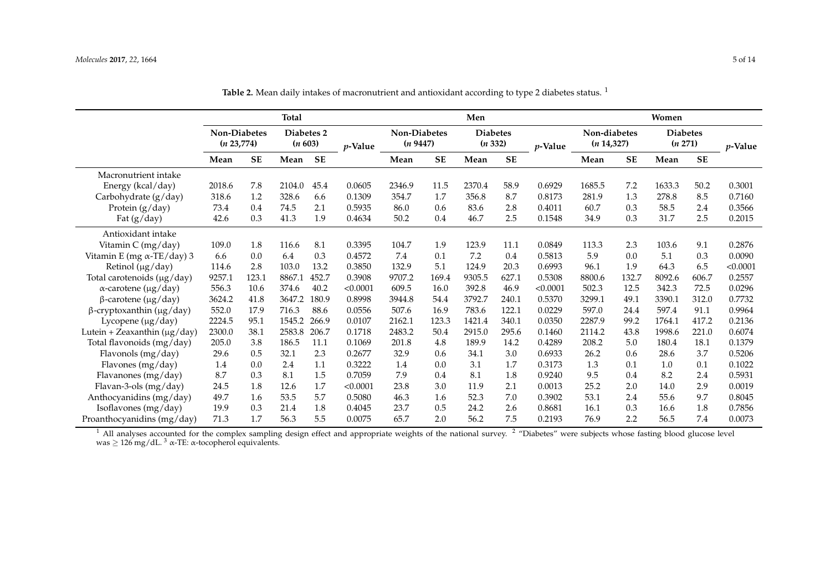|                                    | <b>Total</b>                      |           |                       |           | Men        |                                 |           |                           |           | Women           |                             |           |                            |           |                 |
|------------------------------------|-----------------------------------|-----------|-----------------------|-----------|------------|---------------------------------|-----------|---------------------------|-----------|-----------------|-----------------------------|-----------|----------------------------|-----------|-----------------|
|                                    | <b>Non-Diabetes</b><br>(n 23,774) |           | Diabetes 2<br>(n 603) |           | $p$ -Value | <b>Non-Diabetes</b><br>(n 9447) |           | <b>Diabetes</b><br>(n332) |           | <i>v</i> -Value | Non-diabetes<br>(n 14, 327) |           | <b>Diabetes</b><br>(n 271) |           | <i>v</i> -Value |
|                                    | Mean                              | <b>SE</b> | Mean                  | <b>SE</b> |            | Mean                            | <b>SE</b> | Mean                      | <b>SE</b> |                 | Mean                        | <b>SE</b> | Mean                       | <b>SE</b> |                 |
| Macronutrient intake               |                                   |           |                       |           |            |                                 |           |                           |           |                 |                             |           |                            |           |                 |
| Energy (kcal/day)                  | 2018.6                            | 7.8       | 2104.0                | 45.4      | 0.0605     | 2346.9                          | 11.5      | 2370.4                    | 58.9      | 0.6929          | 1685.5                      | 7.2       | 1633.3                     | 50.2      | 0.3001          |
| Carbohydrate (g/day)               | 318.6                             | 1.2       | 328.6                 | 6.6       | 0.1309     | 354.7                           | 1.7       | 356.8                     | 8.7       | 0.8173          | 281.9                       | 1.3       | 278.8                      | 8.5       | 0.7160          |
| Protein (g/day)                    | 73.4                              | 0.4       | 74.5                  | 2.1       | 0.5935     | 86.0                            | 0.6       | 83.6                      | 2.8       | 0.4011          | 60.7                        | 0.3       | 58.5                       | 2.4       | 0.3566          |
| Fat $(g/day)$                      | 42.6                              | 0.3       | 41.3                  | 1.9       | 0.4634     | 50.2                            | 0.4       | 46.7                      | 2.5       | 0.1548          | 34.9                        | 0.3       | 31.7                       | 2.5       | 0.2015          |
| Antioxidant intake                 |                                   |           |                       |           |            |                                 |           |                           |           |                 |                             |           |                            |           |                 |
| Vitamin C (mg/day)                 | 109.0                             | 1.8       | 116.6                 | 8.1       | 0.3395     | 104.7                           | 1.9       | 123.9                     | 11.1      | 0.0849          | 113.3                       | 2.3       | 103.6                      | 9.1       | 0.2876          |
| Vitamin E (mg $\alpha$ -TE/day) 3  | 6.6                               | 0.0       | 6.4                   | 0.3       | 0.4572     | 7.4                             | 0.1       | 7.2                       | 0.4       | 0.5813          | 5.9                         | 0.0       | 5.1                        | 0.3       | 0.0090          |
| Retinol (µg/day)                   | 114.6                             | 2.8       | 103.0                 | 13.2      | 0.3850     | 132.9                           | 5.1       | 124.9                     | 20.3      | 0.6993          | 96.1                        | 1.9       | 64.3                       | 6.5       | < 0.0001        |
| Total carotenoids (µg/day)         | 9257.1                            | 123.1     | 8867.1                | 452.7     | 0.3908     | 9707.2                          | 169.4     | 9305.5                    | 627.1     | 0.5308          | 8800.6                      | 132.7     | 8092.6                     | 606.7     | 0.2557          |
| $\alpha$ -carotene (µg/day)        | 556.3                             | 10.6      | 374.6                 | 40.2      | < 0.0001   | 609.5                           | 16.0      | 392.8                     | 46.9      | < 0.0001        | 502.3                       | 12.5      | 342.3                      | 72.5      | 0.0296          |
| $\beta$ -carotene (µg/day)         | 3624.2                            | 41.8      | 3647.2                | 180.9     | 0.8998     | 3944.8                          | 54.4      | 3792.7                    | 240.1     | 0.5370          | 3299.1                      | 49.1      | 3390.1                     | 312.0     | 0.7732          |
| $\beta$ -cryptoxanthin (µg/day)    | 552.0                             | 17.9      | 716.3                 | 88.6      | 0.0556     | 507.6                           | 16.9      | 783.6                     | 122.1     | 0.0229          | 597.0                       | 24.4      | 597.4                      | 91.1      | 0.9964          |
| Lycopene (µg/day)                  | 2224.5                            | 95.1      | 1545.2                | 266.9     | 0.0107     | 2162.1                          | 123.3     | 1421.4                    | 340.1     | 0.0350          | 2287.9                      | 99.2      | 1764.1                     | 417.2     | 0.2136          |
| Lutein + Zeaxanthin ( $\mu$ g/day) | 2300.0                            | 38.1      | 2583.8                | 206.7     | 0.1718     | 2483.2                          | 50.4      | 2915.0                    | 295.6     | 0.1460          | 2114.2                      | 43.8      | 1998.6                     | 221.0     | 0.6074          |
| Total flavonoids (mg/day)          | 205.0                             | 3.8       | 186.5                 | 11.1      | 0.1069     | 201.8                           | 4.8       | 189.9                     | 14.2      | 0.4289          | 208.2                       | 5.0       | 180.4                      | 18.1      | 0.1379          |
| Flavonols (mg/day)                 | 29.6                              | 0.5       | 32.1                  | 2.3       | 0.2677     | 32.9                            | 0.6       | 34.1                      | 3.0       | 0.6933          | 26.2                        | 0.6       | 28.6                       | 3.7       | 0.5206          |
| Flavones (mg/day)                  | 1.4                               | 0.0       | 2.4                   | 1.1       | 0.3222     | 1.4                             | 0.0       | 3.1                       | 1.7       | 0.3173          | 1.3                         | 0.1       | 1.0                        | 0.1       | 0.1022          |
| Flavanones (mg/day)                | 8.7                               | 0.3       | 8.1                   | 1.5       | 0.7059     | 7.9                             | 0.4       | 8.1                       | 1.8       | 0.9240          | 9.5                         | 0.4       | 8.2                        | 2.4       | 0.5931          |
| Flavan-3-ols (mg/day)              | 24.5                              | 1.8       | 12.6                  | 1.7       | < 0.0001   | 23.8                            | 3.0       | 11.9                      | 2.1       | 0.0013          | 25.2                        | 2.0       | 14.0                       | 2.9       | 0.0019          |
| Anthocyanidins (mg/day)            | 49.7                              | 1.6       | 53.5                  | 5.7       | 0.5080     | 46.3                            | 1.6       | 52.3                      | 7.0       | 0.3902          | 53.1                        | 2.4       | 55.6                       | 9.7       | 0.8045          |
| Isoflavones (mg/day)               | 19.9                              | 0.3       | 21.4                  | 1.8       | 0.4045     | 23.7                            | 0.5       | 24.2                      | 2.6       | 0.8681          | 16.1                        | 0.3       | 16.6                       | 1.8       | 0.7856          |
| Proanthocyanidins (mg/day)         | 71.3                              | 1.7       | 56.3                  | 5.5       | 0.0075     | 65.7                            | 2.0       | 56.2                      | 7.5       | 0.2193          | 76.9                        | 2.2       | 56.5                       | 7.4       | 0.0073          |

Table 2. Mean daily intakes of macronutrient and antioxidant according to type 2 diabetes status.<sup>1</sup>

<span id="page-4-0"></span> $1$  All analyses accounted for the complex sampling design effect and appropriate weights of the national survey.  $2$  "Diabetes" were subjects whose fasting blood glucose level was  $\geq 126$  mg/dL. <sup>3</sup> α-TE: α-tocopherol equivalents.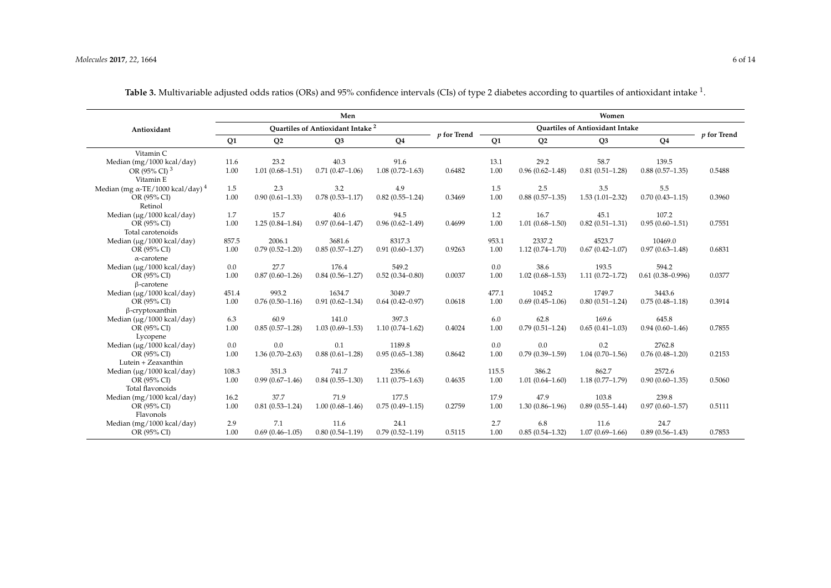<span id="page-5-0"></span>

|                                                     | Women                |                     |                                              |                     |               |       |                     |                     |                      |               |
|-----------------------------------------------------|----------------------|---------------------|----------------------------------------------|---------------------|---------------|-------|---------------------|---------------------|----------------------|---------------|
| Antioxidant                                         |                      |                     | Quartiles of Antioxidant Intake <sup>2</sup> |                     |               |       |                     |                     |                      |               |
|                                                     | Q1<br>Q <sub>2</sub> |                     | Q <sub>3</sub>                               | Q <sub>4</sub>      | $p$ for Trend | Q1    | Q <sub>2</sub>      | Q <sub>3</sub>      | Q <sub>4</sub>       | $p$ for Trend |
| Vitamin C                                           |                      |                     |                                              |                     |               |       |                     |                     |                      |               |
| Median (mg/1000 kcal/day)                           | 11.6                 | 23.2                | 40.3                                         | 91.6                |               | 13.1  | 29.2                | 58.7                | 139.5                |               |
| OR (95% CI) <sup>3</sup><br>Vitamin E               | 1.00                 | $1.01(0.68 - 1.51)$ | $0.71(0.47-1.06)$                            | $1.08(0.72 - 1.63)$ | 0.6482        | 1.00  | $0.96(0.62 - 1.48)$ | $0.81(0.51 - 1.28)$ | $0.88(0.57-1.35)$    | 0.5488        |
| Median (mg $\alpha$ -TE/1000 kcal/day) <sup>4</sup> | 1.5                  | 2.3                 | 3.2                                          | 4.9                 |               | 1.5   | 2.5                 | 3.5                 | 5.5                  |               |
| OR (95% CI)<br>Retinol                              | 1.00                 | $0.90(0.61 - 1.33)$ | $0.78(0.53 - 1.17)$                          | $0.82(0.55 - 1.24)$ | 0.3469        | 1.00  | $0.88(0.57-1.35)$   | $1.53(1.01 - 2.32)$ | $0.70(0.43 - 1.15)$  | 0.3960        |
| Median (µg/1000 kcal/day)                           | 1.7                  | 15.7                | 40.6                                         | 94.5                |               | 1.2   | 16.7                | 45.1                | 107.2                |               |
| OR (95% CI)<br>Total carotenoids                    | 1.00                 | $1.25(0.84 - 1.84)$ | $0.97(0.64 - 1.47)$                          | $0.96(0.62 - 1.49)$ | 0.4699        | 1.00  | $1.01(0.68 - 1.50)$ | $0.82(0.51 - 1.31)$ | $0.95(0.60 - 1.51)$  | 0.7551        |
| Median (µg/1000 kcal/day)                           | 857.5                | 2006.1              | 3681.6                                       | 8317.3              |               | 953.1 | 2337.2              | 4523.7              | 10469.0              |               |
| OR (95% CI)                                         | 1.00                 | $0.79(0.52 - 1.20)$ | $0.85(0.57-1.27)$                            | $0.91(0.60 - 1.37)$ | 0.9263        | 1.00  | $1.12(0.74 - 1.70)$ | $0.67(0.42 - 1.07)$ | $0.97(0.63 - 1.48)$  | 0.6831        |
| $\alpha$ -carotene                                  |                      |                     |                                              |                     |               |       |                     |                     |                      |               |
| Median (µg/1000 kcal/day)                           | 0.0                  | 27.7                | 176.4                                        | 549.2               |               | 0.0   | 38.6                | 193.5               | 594.2                |               |
| OR (95% CI)                                         | 1.00                 | $0.87(0.60 - 1.26)$ | $0.84(0.56 - 1.27)$                          | $0.52(0.34 - 0.80)$ | 0.0037        | 1.00  | $1.02(0.68 - 1.53)$ | $1.11(0.72 - 1.72)$ | $0.61(0.38 - 0.996)$ | 0.0377        |
| β-carotene                                          |                      |                     |                                              |                     |               |       |                     |                     |                      |               |
| Median (µg/1000 kcal/day)                           | 451.4                | 993.2               | 1634.7                                       | 3049.7              |               | 477.1 | 1045.2              | 1749.7              | 3443.6               |               |
| OR (95% CI)                                         | 1.00                 | $0.76(0.50-1.16)$   | $0.91(0.62 - 1.34)$                          | $0.64(0.42 - 0.97)$ | 0.0618        | 1.00  | $0.69(0.45 - 1.06)$ | $0.80(0.51 - 1.24)$ | $0.75(0.48 - 1.18)$  | 0.3914        |
| $\beta$ -cryptoxanthin                              |                      |                     |                                              |                     |               |       |                     |                     |                      |               |
| Median (µg/1000 kcal/day)                           | 6.3                  | 60.9                | 141.0                                        | 397.3               |               | 6.0   | 62.8                | 169.6               | 645.8                |               |
| OR (95% CI)                                         | 1.00                 | $0.85(0.57-1.28)$   | $1.03(0.69 - 1.53)$                          | $1.10(0.74 - 1.62)$ | 0.4024        | 1.00  | $0.79(0.51 - 1.24)$ | $0.65(0.41 - 1.03)$ | $0.94(0.60 - 1.46)$  | 0.7855        |
| Lycopene                                            |                      |                     |                                              |                     |               |       |                     |                     |                      |               |
| Median (µg/1000 kcal/day)                           | 0.0                  | 0.0                 | 0.1                                          | 1189.8              |               | 0.0   | 0.0                 | 0.2                 | 2762.8               |               |
| OR (95% CI)                                         | 1.00                 | $1.36(0.70 - 2.63)$ | $0.88(0.61 - 1.28)$                          | $0.95(0.65 - 1.38)$ | 0.8642        | 1.00  | $0.79(0.39 - 1.59)$ | $1.04(0.70 - 1.56)$ | $0.76(0.48 - 1.20)$  | 0.2153        |
| Lutein + Zeaxanthin                                 |                      |                     |                                              |                     |               |       |                     |                     |                      |               |
| Median (µg/1000 kcal/day)                           | 108.3                | 351.3               | 741.7                                        | 2356.6              |               | 115.5 | 386.2               | 862.7               | 2572.6               |               |
| OR (95% CI)                                         | 1.00                 | $0.99(0.67-1.46)$   | $0.84(0.55 - 1.30)$                          | $1.11(0.75 - 1.63)$ | 0.4635        | 1.00  | $1.01(0.64 - 1.60)$ | $1.18(0.77 - 1.79)$ | $0.90(0.60 - 1.35)$  | 0.5060        |
| Total flavonoids                                    |                      |                     |                                              |                     |               |       |                     |                     |                      |               |
| Median (mg/1000 kcal/day)                           | 16.2                 | 37.7                | 71.9                                         | 177.5               |               | 17.9  | 47.9                | 103.8               | 239.8                |               |
| OR (95% CI)<br>Flavonols                            | 1.00                 | $0.81(0.53 - 1.24)$ | $1.00(0.68 - 1.46)$                          | $0.75(0.49 - 1.15)$ | 0.2759        | 1.00  | $1.30(0.86 - 1.96)$ | $0.89(0.55 - 1.44)$ | $0.97(0.60 - 1.57)$  | 0.5111        |
| Median (mg/1000 kcal/day)                           | 2.9                  | 7.1                 | 11.6                                         | 24.1                |               | 2.7   | 6.8                 | 11.6                | 24.7                 |               |
| OR (95% CI)                                         | 1.00                 | $0.69(0.46 - 1.05)$ | $0.80(0.54 - 1.19)$                          | $0.79(0.52 - 1.19)$ | 0.5115        | 1.00  | $0.85(0.54 - 1.32)$ | $1.07(0.69 - 1.66)$ | $0.89(0.56 - 1.43)$  | 0.7853        |

**Table 3.** Multivariable adjusted odds ratios (ORs) and 95% confidence intervals (CIs) of type 2 diabetes according to quartiles of antioxidant intake <sup>1</sup> .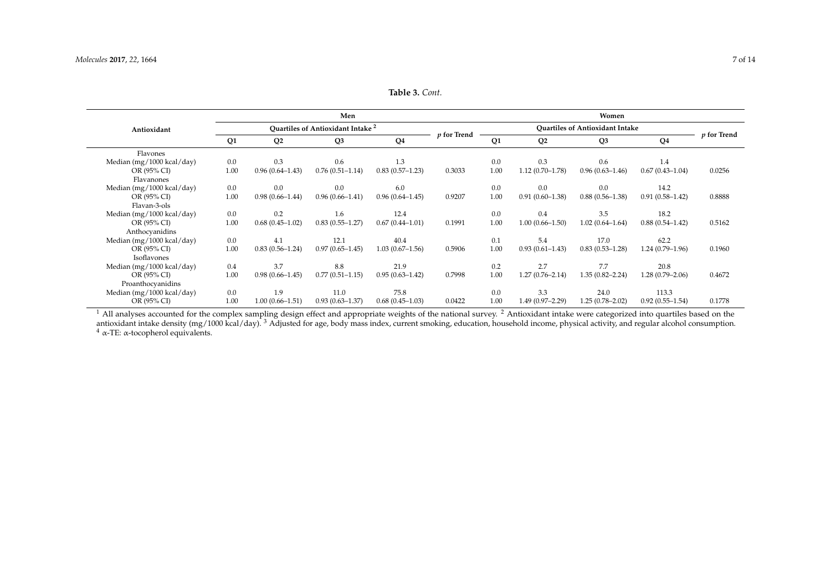| <b>Table 3.</b> Cont. |  |
|-----------------------|--|
|-----------------------|--|

|                               | Women          |                     |                                                    |                     |                |                |                     |                     |                     |        |
|-------------------------------|----------------|---------------------|----------------------------------------------------|---------------------|----------------|----------------|---------------------|---------------------|---------------------|--------|
| Antioxidant                   |                |                     | <b>Ouartiles of Antioxidant Intake<sup>2</sup></b> |                     |                |                |                     |                     |                     |        |
|                               | Q <sub>1</sub> | Q <sub>2</sub>      | Q <sub>3</sub>                                     | $p$ for Trend       | Q <sub>1</sub> | Q <sub>2</sub> | Q <sub>3</sub>      | Q <sub>4</sub>      | p for Trend         |        |
| Flavones                      |                |                     |                                                    |                     |                |                |                     |                     |                     |        |
| Median (mg/1000 kcal/day)     | 0.0            | 0.3                 | 0.6                                                | 1.3                 |                | 0.0            | 0.3                 | 0.6                 | 1.4                 |        |
| OR (95% CI)<br>Flavanones     | 1.00           | $0.96(0.64 - 1.43)$ | $0.76(0.51 - 1.14)$                                | $0.83(0.57-1.23)$   | 0.3033         | 1.00           | $1.12(0.70-1.78)$   | $0.96(0.63 - 1.46)$ | $0.67(0.43 - 1.04)$ | 0.0256 |
| Median (mg/1000 kcal/day)     | 0.0            | 0.0                 | 0.0                                                | 6.0                 |                | 0.0            | 0.0                 | 0.0                 | 14.2                |        |
| OR (95% CI)<br>Flavan-3-ols   | 1.00           | $0.98(0.66 - 1.44)$ | $0.96(0.66 - 1.41)$                                | $0.96(0.64 - 1.45)$ | 0.9207         | 1.00           | $0.91(0.60 - 1.38)$ | $0.88(0.56 - 1.38)$ | $0.91(0.58 - 1.42)$ | 0.8888 |
| Median (mg/1000 kcal/day)     | 0.0            | 0.2                 | 1.6                                                | 12.4                |                | 0.0            | 0.4                 | 3.5                 | 18.2                |        |
| OR (95% CI)<br>Anthocyanidins | 1.00           | $0.68(0.45-1.02)$   | $0.83(0.55 - 1.27)$                                | $0.67(0.44 - 1.01)$ | 0.1991         | 1.00           | $1.00(0.66 - 1.50)$ | $1.02(0.64 - 1.64)$ | $0.88(0.54 - 1.42)$ | 0.5162 |
| Median (mg/1000 kcal/day)     | 0.0            | 4.1                 | 12.1                                               | 40.4                |                | 0.1            | 5.4                 | 17.0                | 62.2                |        |
| OR (95% CI)                   | 1.00           | $0.83(0.56 - 1.24)$ | $0.97(0.65 - 1.45)$                                | $1.03(0.67-1.56)$   | 0.5906         | 1.00           | $0.93(0.61 - 1.43)$ | $0.83(0.53 - 1.28)$ | $1.24(0.79-1.96)$   | 0.1960 |
| Isoflavones                   |                |                     |                                                    |                     |                |                |                     |                     |                     |        |
| Median (mg/1000 kcal/day)     | 0.4            | 3.7                 | 8.8                                                | 21.9                |                | 0.2            | 2.7                 | 7.7                 | 20.8                |        |
| OR (95% CI)                   | 1.00           | $0.98(0.66 - 1.45)$ | $0.77(0.51 - 1.15)$                                | $0.95(0.63 - 1.42)$ | 0.7998         | 1.00           | $1.27(0.76 - 2.14)$ | $1.35(0.82 - 2.24)$ | $1.28(0.79-2.06)$   | 0.4672 |
| Proanthocyanidins             |                |                     |                                                    |                     |                |                |                     |                     |                     |        |
| Median (mg/1000 kcal/day)     | 0.0            | 1.9                 | 11.0                                               | 75.8                |                | 0.0            | 3.3                 | 24.0                | 113.3               |        |
| OR (95% CI)                   | 1.00           | $1.00(0.66 - 1.51)$ | $0.93(0.63 - 1.37)$                                | $0.68(0.45-1.03)$   | 0.0422         | 1.00           | 1.49 (0.97-2.29)    | $1.25(0.78 - 2.02)$ | $0.92(0.55 - 1.54)$ | 0.1778 |

 $<sup>1</sup>$  All analyses accounted for the complex sampling design effect and appropriate weights of the national survey. <sup>2</sup> Antioxidant intake were categorized into quartiles based on the</sup> antioxidant intake density (mg/1000 kcal/day).  $^3$  Adjusted for age, body mass index, current smoking, education, household income, physical activity, and regular alcohol consumption. <sup>4</sup> α-TE: α-tocopherol equivalents.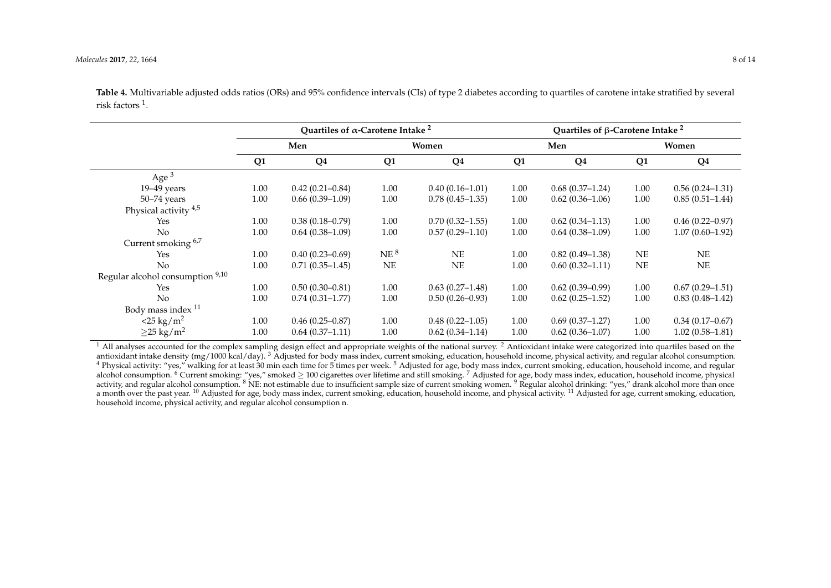|                                  |      | Quartiles of $\alpha$ -Carotene Intake <sup>2</sup> |                 |                     | Quartiles of $\beta$ -Carotene Intake <sup>2</sup> |                     |                |                     |  |  |
|----------------------------------|------|-----------------------------------------------------|-----------------|---------------------|----------------------------------------------------|---------------------|----------------|---------------------|--|--|
|                                  |      | Men                                                 |                 | Women               |                                                    | Men                 | Women          |                     |  |  |
|                                  | Q1   | Q <sub>4</sub>                                      | Q <sub>1</sub>  | Q <sub>4</sub>      | Q1                                                 | Q <sub>4</sub>      | Q <sub>1</sub> | Q <sub>4</sub>      |  |  |
| Age $3$                          |      |                                                     |                 |                     |                                                    |                     |                |                     |  |  |
| $19-49$ years                    | 1.00 | $0.42(0.21 - 0.84)$                                 | 1.00            | $0.40(0.16 - 1.01)$ | 1.00                                               | $0.68(0.37-1.24)$   | 1.00           | $0.56(0.24-1.31)$   |  |  |
| $50 - 74$ years                  | 1.00 | $0.66(0.39-1.09)$                                   | 1.00            | $0.78(0.45 - 1.35)$ | 1.00                                               | $0.62(0.36-1.06)$   | 1.00           | $0.85(0.51-1.44)$   |  |  |
| Physical activity $4.5$          |      |                                                     |                 |                     |                                                    |                     |                |                     |  |  |
| Yes                              | 1.00 | $0.38(0.18 - 0.79)$                                 | 1.00            | $0.70(0.32 - 1.55)$ | 1.00                                               | $0.62(0.34 - 1.13)$ | 1.00           | $0.46(0.22 - 0.97)$ |  |  |
| N <sub>o</sub>                   | 1.00 | $0.64(0.38-1.09)$                                   | 1.00            | $0.57(0.29 - 1.10)$ | 1.00                                               | $0.64(0.38-1.09)$   | 1.00           | $1.07(0.60 - 1.92)$ |  |  |
| Current smoking 6,7              |      |                                                     |                 |                     |                                                    |                     |                |                     |  |  |
| Yes                              | 1.00 | $0.40(0.23 - 0.69)$                                 | NE <sup>8</sup> | <b>NE</b>           | 1.00                                               | $0.82(0.49-1.38)$   | NE             | NE                  |  |  |
| No                               | 1.00 | $0.71(0.35-1.45)$                                   | $\rm NE$        | NE                  | 1.00                                               | $0.60(0.32 - 1.11)$ | NE             | <b>NE</b>           |  |  |
| Regular alcohol consumption 9,10 |      |                                                     |                 |                     |                                                    |                     |                |                     |  |  |
| Yes                              | 1.00 | $0.50(0.30 - 0.81)$                                 | 1.00            | $0.63(0.27-1.48)$   | 1.00                                               | $0.62(0.39-0.99)$   | 1.00           | $0.67(0.29 - 1.51)$ |  |  |
| No                               | 1.00 | $0.74(0.31 - 1.77)$                                 | 1.00            | $0.50(0.26 - 0.93)$ | 1.00                                               | $0.62(0.25-1.52)$   | 1.00           | $0.83(0.48 - 1.42)$ |  |  |
| Body mass index <sup>11</sup>    |      |                                                     |                 |                     |                                                    |                     |                |                     |  |  |
| $<$ 25 kg/m <sup>2</sup>         | 1.00 | $0.46(0.25 - 0.87)$                                 | 1.00            | $0.48(0.22 - 1.05)$ | 1.00                                               | $0.69(0.37-1.27)$   | 1.00           | $0.34(0.17-0.67)$   |  |  |
| $\geq$ 25 kg/m <sup>2</sup>      | 1.00 | $0.64(0.37-1.11)$                                   | 1.00            | $0.62(0.34 - 1.14)$ | 1.00                                               | $0.62(0.36 - 1.07)$ | 1.00           | $1.02(0.58-1.81)$   |  |  |

**Table 4.** Multivariable adjusted odds ratios (ORs) and 95% confidence intervals (CIs) of type 2 diabetes according to quartiles of carotene intake stratified by several risk factors<sup>1</sup>.

<span id="page-7-0"></span><sup>1</sup> All analyses accounted for the complex sampling design effect and appropriate weights of the national survey.<sup>2</sup> Antioxidant intake were categorized into quartiles based on the antioxidant intake density (mg/1000 kcal/day). <sup>3</sup> Adjusted for body mass index, current smoking, education, household income, physical activity, and regular alcohol consumption. <sup>4</sup> Physical activity: "yes," walking for at least 30 min each time for 5 times per week. <sup>5</sup> Adjusted for age, body mass index, current smoking, education, household income, and regular alcohol consumption. <sup>6</sup> Current smoking: "yes," smoked  $\geq 100$  cigarettes over lifetime and still smoking. <sup>7</sup> Adjusted for age, body mass index, education, household income, physical activity, and regular alcohol consumption. <sup>8</sup> NE: not estimable due to insufficient sample size of current smoking women. <sup>9</sup> Regular alcohol drinking: "yes," drank alcohol more than once a month over the past year. <sup>10</sup> Adjusted for age, body mass index, current smoking, education, household income, and physical activity. <sup>11</sup> Adjusted for age, current smoking, education, household income, physical activity, and regular alcohol consumption n.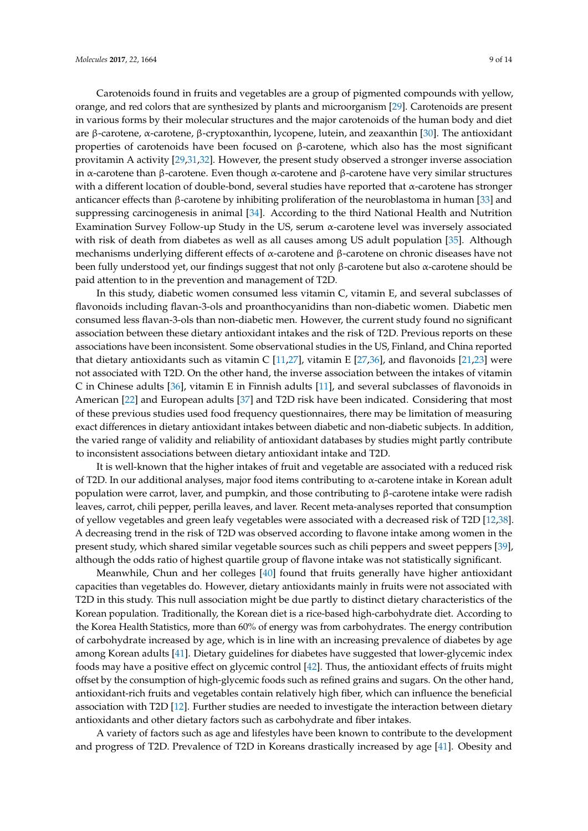Carotenoids found in fruits and vegetables are a group of pigmented compounds with yellow, orange, and red colors that are synthesized by plants and microorganism [\[29\]](#page-12-9). Carotenoids are present in various forms by their molecular structures and the major carotenoids of the human body and diet are β-carotene, α-carotene, β-cryptoxanthin, lycopene, lutein, and zeaxanthin [\[30\]](#page-12-10). The antioxidant properties of carotenoids have been focused on β-carotene, which also has the most significant provitamin A activity [\[29](#page-12-9)[,31,](#page-12-11)[32\]](#page-12-12). However, the present study observed a stronger inverse association in α-carotene than β-carotene. Even though α-carotene and β-carotene have very similar structures with a different location of double-bond, several studies have reported that α-carotene has stronger anticancer effects than β-carotene by inhibiting proliferation of the neuroblastoma in human [\[33\]](#page-12-13) and suppressing carcinogenesis in animal [\[34\]](#page-12-14). According to the third National Health and Nutrition Examination Survey Follow-up Study in the US, serum α-carotene level was inversely associated with risk of death from diabetes as well as all causes among US adult population [\[35\]](#page-12-15). Although mechanisms underlying different effects of α-carotene and β-carotene on chronic diseases have not been fully understood yet, our findings suggest that not only β-carotene but also  $α$ -carotene should be paid attention to in the prevention and management of T2D.

In this study, diabetic women consumed less vitamin C, vitamin E, and several subclasses of flavonoids including flavan-3-ols and proanthocyanidins than non-diabetic women. Diabetic men consumed less flavan-3-ols than non-diabetic men. However, the current study found no significant association between these dietary antioxidant intakes and the risk of T2D. Previous reports on these associations have been inconsistent. Some observational studies in the US, Finland, and China reported that dietary antioxidants such as vitamin C  $[11,27]$  $[11,27]$ , vitamin E  $[27,36]$  $[27,36]$ , and flavonoids  $[21,23]$  $[21,23]$  were not associated with T2D. On the other hand, the inverse association between the intakes of vitamin C in Chinese adults [\[36\]](#page-12-16), vitamin E in Finnish adults [\[11\]](#page-11-9), and several subclasses of flavonoids in American [\[22\]](#page-12-2) and European adults [\[37\]](#page-12-18) and T2D risk have been indicated. Considering that most of these previous studies used food frequency questionnaires, there may be limitation of measuring exact differences in dietary antioxidant intakes between diabetic and non-diabetic subjects. In addition, the varied range of validity and reliability of antioxidant databases by studies might partly contribute to inconsistent associations between dietary antioxidant intake and T2D.

It is well-known that the higher intakes of fruit and vegetable are associated with a reduced risk of T2D. In our additional analyses, major food items contributing to α-carotene intake in Korean adult population were carrot, laver, and pumpkin, and those contributing to β-carotene intake were radish leaves, carrot, chili pepper, perilla leaves, and laver. Recent meta-analyses reported that consumption of yellow vegetables and green leafy vegetables were associated with a decreased risk of T2D [\[12,](#page-11-14)[38\]](#page-12-19). A decreasing trend in the risk of T2D was observed according to flavone intake among women in the present study, which shared similar vegetable sources such as chili peppers and sweet peppers [\[39\]](#page-13-0), although the odds ratio of highest quartile group of flavone intake was not statistically significant.

Meanwhile, Chun and her colleges [\[40\]](#page-13-1) found that fruits generally have higher antioxidant capacities than vegetables do. However, dietary antioxidants mainly in fruits were not associated with T2D in this study. This null association might be due partly to distinct dietary characteristics of the Korean population. Traditionally, the Korean diet is a rice-based high-carbohydrate diet. According to the Korea Health Statistics, more than 60% of energy was from carbohydrates. The energy contribution of carbohydrate increased by age, which is in line with an increasing prevalence of diabetes by age among Korean adults [\[41\]](#page-13-2). Dietary guidelines for diabetes have suggested that lower-glycemic index foods may have a positive effect on glycemic control [\[42\]](#page-13-3). Thus, the antioxidant effects of fruits might offset by the consumption of high-glycemic foods such as refined grains and sugars. On the other hand, antioxidant-rich fruits and vegetables contain relatively high fiber, which can influence the beneficial association with T2D [\[12\]](#page-11-14). Further studies are needed to investigate the interaction between dietary antioxidants and other dietary factors such as carbohydrate and fiber intakes.

A variety of factors such as age and lifestyles have been known to contribute to the development and progress of T2D. Prevalence of T2D in Koreans drastically increased by age [\[41\]](#page-13-2). Obesity and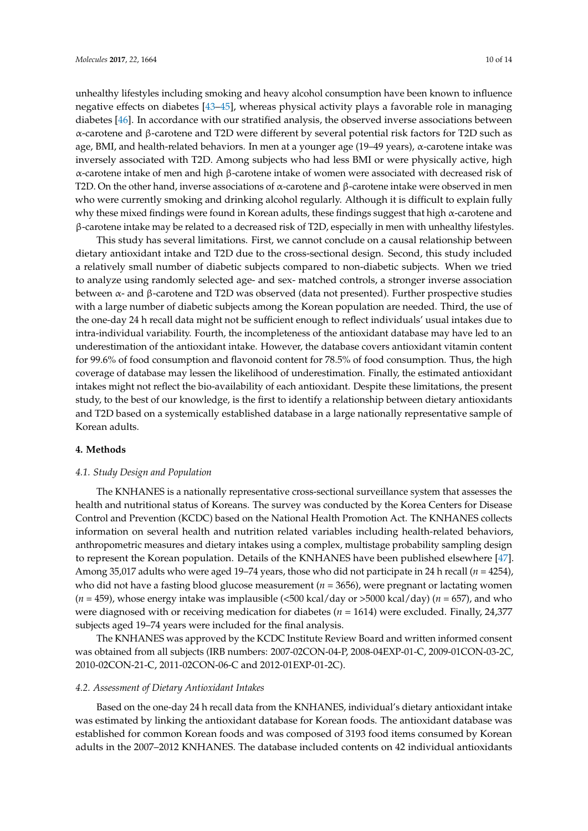unhealthy lifestyles including smoking and heavy alcohol consumption have been known to influence negative effects on diabetes [\[43](#page-13-4)[–45\]](#page-13-5), whereas physical activity plays a favorable role in managing diabetes [\[46\]](#page-13-6). In accordance with our stratified analysis, the observed inverse associations between α-carotene and β-carotene and T2D were different by several potential risk factors for T2D such as age, BMI, and health-related behaviors. In men at a younger age (19–49 years), α-carotene intake was inversely associated with T2D. Among subjects who had less BMI or were physically active, high α-carotene intake of men and high β-carotene intake of women were associated with decreased risk of T2D. On the other hand, inverse associations of α-carotene and β-carotene intake were observed in men who were currently smoking and drinking alcohol regularly. Although it is difficult to explain fully why these mixed findings were found in Korean adults, these findings suggest that high α-carotene and β-carotene intake may be related to a decreased risk of T2D, especially in men with unhealthy lifestyles.

This study has several limitations. First, we cannot conclude on a causal relationship between dietary antioxidant intake and T2D due to the cross-sectional design. Second, this study included a relatively small number of diabetic subjects compared to non-diabetic subjects. When we tried to analyze using randomly selected age- and sex- matched controls, a stronger inverse association between  $\alpha$ - and β-carotene and T2D was observed (data not presented). Further prospective studies with a large number of diabetic subjects among the Korean population are needed. Third, the use of the one-day 24 h recall data might not be sufficient enough to reflect individuals' usual intakes due to intra-individual variability. Fourth, the incompleteness of the antioxidant database may have led to an underestimation of the antioxidant intake. However, the database covers antioxidant vitamin content for 99.6% of food consumption and flavonoid content for 78.5% of food consumption. Thus, the high coverage of database may lessen the likelihood of underestimation. Finally, the estimated antioxidant intakes might not reflect the bio-availability of each antioxidant. Despite these limitations, the present study, to the best of our knowledge, is the first to identify a relationship between dietary antioxidants and T2D based on a systemically established database in a large nationally representative sample of Korean adults.

# **4. Methods**

#### *4.1. Study Design and Population*

The KNHANES is a nationally representative cross-sectional surveillance system that assesses the health and nutritional status of Koreans. The survey was conducted by the Korea Centers for Disease Control and Prevention (KCDC) based on the National Health Promotion Act. The KNHANES collects information on several health and nutrition related variables including health-related behaviors, anthropometric measures and dietary intakes using a complex, multistage probability sampling design to represent the Korean population. Details of the KNHANES have been published elsewhere [\[47\]](#page-13-7). Among 35,017 adults who were aged 19–74 years, those who did not participate in 24 h recall (*n* = 4254), who did not have a fasting blood glucose measurement ( $n = 3656$ ), were pregnant or lactating women  $(n = 459)$ , whose energy intake was implausible  $\langle$  500 kcal/day or >5000 kcal/day) ( $n = 657$ ), and who were diagnosed with or receiving medication for diabetes (*n* = 1614) were excluded. Finally, 24,377 subjects aged 19–74 years were included for the final analysis.

The KNHANES was approved by the KCDC Institute Review Board and written informed consent was obtained from all subjects (IRB numbers: 2007-02CON-04-P, 2008-04EXP-01-C, 2009-01CON-03-2C, 2010-02CON-21-C, 2011-02CON-06-C and 2012-01EXP-01-2C).

#### *4.2. Assessment of Dietary Antioxidant Intakes*

Based on the one-day 24 h recall data from the KNHANES, individual's dietary antioxidant intake was estimated by linking the antioxidant database for Korean foods. The antioxidant database was established for common Korean foods and was composed of 3193 food items consumed by Korean adults in the 2007–2012 KNHANES. The database included contents on 42 individual antioxidants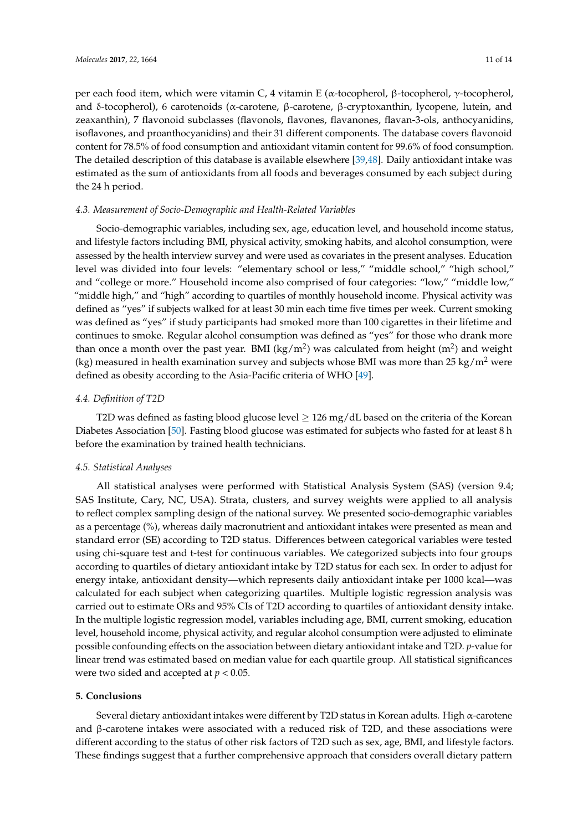per each food item, which were vitamin C, 4 vitamin E (α-tocopherol, β-tocopherol, γ-tocopherol, and δ-tocopherol), 6 carotenoids (α-carotene, β-carotene, β-cryptoxanthin, lycopene, lutein, and zeaxanthin), 7 flavonoid subclasses (flavonols, flavones, flavanones, flavan-3-ols, anthocyanidins, isoflavones, and proanthocyanidins) and their 31 different components. The database covers flavonoid content for 78.5% of food consumption and antioxidant vitamin content for 99.6% of food consumption. The detailed description of this database is available elsewhere [\[39](#page-13-0)[,48\]](#page-13-8). Daily antioxidant intake was estimated as the sum of antioxidants from all foods and beverages consumed by each subject during the 24 h period.

#### *4.3. Measurement of Socio-Demographic and Health-Related Variables*

Socio-demographic variables, including sex, age, education level, and household income status, and lifestyle factors including BMI, physical activity, smoking habits, and alcohol consumption, were assessed by the health interview survey and were used as covariates in the present analyses. Education level was divided into four levels: "elementary school or less," "middle school," "high school," and "college or more." Household income also comprised of four categories: "low," "middle low," "middle high," and "high" according to quartiles of monthly household income. Physical activity was defined as "yes" if subjects walked for at least 30 min each time five times per week. Current smoking was defined as "yes" if study participants had smoked more than 100 cigarettes in their lifetime and continues to smoke. Regular alcohol consumption was defined as "yes" for those who drank more than once a month over the past year. BMI (kg/m<sup>2</sup>) was calculated from height (m<sup>2</sup>) and weight (kg) measured in health examination survey and subjects whose BMI was more than 25 kg/m<sup>2</sup> were defined as obesity according to the Asia-Pacific criteria of WHO [\[49\]](#page-13-9).

#### *4.4. Definition of T2D*

T2D was defined as fasting blood glucose level  $\geq$  126 mg/dL based on the criteria of the Korean Diabetes Association [\[50\]](#page-13-10). Fasting blood glucose was estimated for subjects who fasted for at least 8 h before the examination by trained health technicians.

#### *4.5. Statistical Analyses*

All statistical analyses were performed with Statistical Analysis System (SAS) (version 9.4; SAS Institute, Cary, NC, USA). Strata, clusters, and survey weights were applied to all analysis to reflect complex sampling design of the national survey. We presented socio-demographic variables as a percentage (%), whereas daily macronutrient and antioxidant intakes were presented as mean and standard error (SE) according to T2D status. Differences between categorical variables were tested using chi-square test and t-test for continuous variables. We categorized subjects into four groups according to quartiles of dietary antioxidant intake by T2D status for each sex. In order to adjust for energy intake, antioxidant density—which represents daily antioxidant intake per 1000 kcal—was calculated for each subject when categorizing quartiles. Multiple logistic regression analysis was carried out to estimate ORs and 95% CIs of T2D according to quartiles of antioxidant density intake. In the multiple logistic regression model, variables including age, BMI, current smoking, education level, household income, physical activity, and regular alcohol consumption were adjusted to eliminate possible confounding effects on the association between dietary antioxidant intake and T2D. *p*-value for linear trend was estimated based on median value for each quartile group. All statistical significances were two sided and accepted at *p* < 0.05.

#### **5. Conclusions**

Several dietary antioxidant intakes were different by T2D status in Korean adults. High  $\alpha$ -carotene and  $\beta$ -carotene intakes were associated with a reduced risk of T2D, and these associations were different according to the status of other risk factors of T2D such as sex, age, BMI, and lifestyle factors. These findings suggest that a further comprehensive approach that considers overall dietary pattern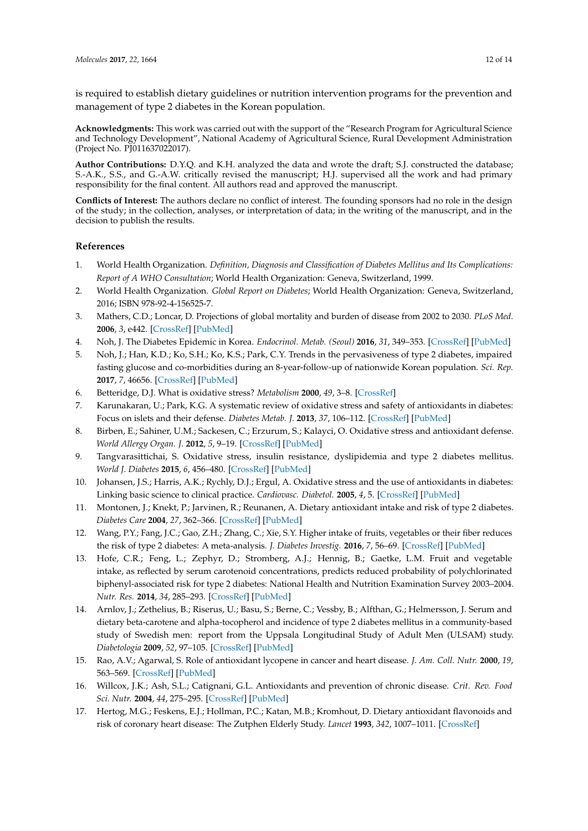is required to establish dietary guidelines or nutrition intervention programs for the prevention and management of type 2 diabetes in the Korean population.

**Acknowledgments:** This work was carried out with the support of the "Research Program for Agricultural Science and Technology Development", National Academy of Agricultural Science, Rural Development Administration (Project No. PJ011637022017).

**Author Contributions:** D.Y.Q. and K.H. analyzed the data and wrote the draft; S.J. constructed the database; S.-A.K., S.S., and G.-A.W. critically revised the manuscript; H.J. supervised all the work and had primary responsibility for the final content. All authors read and approved the manuscript.

**Conflicts of Interest:** The authors declare no conflict of interest. The founding sponsors had no role in the design of the study; in the collection, analyses, or interpretation of data; in the writing of the manuscript, and in the decision to publish the results.

# **References**

- <span id="page-11-0"></span>1. World Health Organization. *Definition, Diagnosis and Classification of Diabetes Mellitus and Its Complications: Report of A WHO Consultation*; World Health Organization: Geneva, Switzerland, 1999.
- <span id="page-11-1"></span>2. World Health Organization. *Global Report on Diabetes*; World Health Organization: Geneva, Switzerland, 2016; ISBN 978-92-4-156525-7.
- <span id="page-11-2"></span>3. Mathers, C.D.; Loncar, D. Projections of global mortality and burden of disease from 2002 to 2030. *PLoS Med.* **2006**, *3*, e442. [\[CrossRef\]](http://dx.doi.org/10.1371/journal.pmed.0030442) [\[PubMed\]](http://www.ncbi.nlm.nih.gov/pubmed/17132052)
- <span id="page-11-3"></span>4. Noh, J. The Diabetes Epidemic in Korea. *Endocrinol. Metab. (Seoul)* **2016**, *31*, 349–353. [\[CrossRef\]](http://dx.doi.org/10.3803/EnM.2016.31.3.349) [\[PubMed\]](http://www.ncbi.nlm.nih.gov/pubmed/27586447)
- <span id="page-11-4"></span>5. Noh, J.; Han, K.D.; Ko, S.H.; Ko, K.S.; Park, C.Y. Trends in the pervasiveness of type 2 diabetes, impaired fasting glucose and co-morbidities during an 8-year-follow-up of nationwide Korean population. *Sci. Rep.* **2017**, *7*, 46656. [\[CrossRef\]](http://dx.doi.org/10.1038/srep46656) [\[PubMed\]](http://www.ncbi.nlm.nih.gov/pubmed/28425463)
- <span id="page-11-5"></span>6. Betteridge, D.J. What is oxidative stress? *Metabolism* **2000**, *49*, 3–8. [\[CrossRef\]](http://dx.doi.org/10.1016/S0026-0495(00)80077-3)
- <span id="page-11-13"></span>7. Karunakaran, U.; Park, K.G. A systematic review of oxidative stress and safety of antioxidants in diabetes: Focus on islets and their defense. *Diabetes Metab. J.* **2013**, *37*, 106–112. [\[CrossRef\]](http://dx.doi.org/10.4093/dmj.2013.37.2.106) [\[PubMed\]](http://www.ncbi.nlm.nih.gov/pubmed/23641350)
- <span id="page-11-6"></span>8. Birben, E.; Sahiner, U.M.; Sackesen, C.; Erzurum, S.; Kalayci, O. Oxidative stress and antioxidant defense. *World Allergy Organ. J.* **2012**, *5*, 9–19. [\[CrossRef\]](http://dx.doi.org/10.1097/WOX.0b013e3182439613) [\[PubMed\]](http://www.ncbi.nlm.nih.gov/pubmed/23268465)
- <span id="page-11-7"></span>9. Tangvarasittichai, S. Oxidative stress, insulin resistance, dyslipidemia and type 2 diabetes mellitus. *World J. Diabetes* **2015**, *6*, 456–480. [\[CrossRef\]](http://dx.doi.org/10.4239/wjd.v6.i3.456) [\[PubMed\]](http://www.ncbi.nlm.nih.gov/pubmed/25897356)
- <span id="page-11-8"></span>10. Johansen, J.S.; Harris, A.K.; Rychly, D.J.; Ergul, A. Oxidative stress and the use of antioxidants in diabetes: Linking basic science to clinical practice. *Cardiovasc. Diabetol.* **2005**, *4*, 5. [\[CrossRef\]](http://dx.doi.org/10.1186/1475-2840-4-5) [\[PubMed\]](http://www.ncbi.nlm.nih.gov/pubmed/15862133)
- <span id="page-11-9"></span>11. Montonen, J.; Knekt, P.; Jarvinen, R.; Reunanen, A. Dietary antioxidant intake and risk of type 2 diabetes. *Diabetes Care* **2004**, *27*, 362–366. [\[CrossRef\]](http://dx.doi.org/10.2337/diacare.27.2.362) [\[PubMed\]](http://www.ncbi.nlm.nih.gov/pubmed/14747214)
- <span id="page-11-14"></span>12. Wang, P.Y.; Fang, J.C.; Gao, Z.H.; Zhang, C.; Xie, S.Y. Higher intake of fruits, vegetables or their fiber reduces the risk of type 2 diabetes: A meta-analysis. *J. Diabetes Investig.* **2016**, *7*, 56–69. [\[CrossRef\]](http://dx.doi.org/10.1111/jdi.12376) [\[PubMed\]](http://www.ncbi.nlm.nih.gov/pubmed/26816602)
- 13. Hofe, C.R.; Feng, L.; Zephyr, D.; Stromberg, A.J.; Hennig, B.; Gaetke, L.M. Fruit and vegetable intake, as reflected by serum carotenoid concentrations, predicts reduced probability of polychlorinated biphenyl-associated risk for type 2 diabetes: National Health and Nutrition Examination Survey 2003–2004. *Nutr. Res.* **2014**, *34*, 285–293. [\[CrossRef\]](http://dx.doi.org/10.1016/j.nutres.2014.02.001) [\[PubMed\]](http://www.ncbi.nlm.nih.gov/pubmed/24774064)
- <span id="page-11-10"></span>14. Arnlov, J.; Zethelius, B.; Riserus, U.; Basu, S.; Berne, C.; Vessby, B.; Alfthan, G.; Helmersson, J. Serum and dietary beta-carotene and alpha-tocopherol and incidence of type 2 diabetes mellitus in a community-based study of Swedish men: report from the Uppsala Longitudinal Study of Adult Men (ULSAM) study. *Diabetologia* **2009**, *52*, 97–105. [\[CrossRef\]](http://dx.doi.org/10.1007/s00125-008-1189-3) [\[PubMed\]](http://www.ncbi.nlm.nih.gov/pubmed/18985315)
- <span id="page-11-11"></span>15. Rao, A.V.; Agarwal, S. Role of antioxidant lycopene in cancer and heart disease. *J. Am. Coll. Nutr.* **2000**, *19*, 563–569. [\[CrossRef\]](http://dx.doi.org/10.1080/07315724.2000.10718953) [\[PubMed\]](http://www.ncbi.nlm.nih.gov/pubmed/11022869)
- 16. Willcox, J.K.; Ash, S.L.; Catignani, G.L. Antioxidants and prevention of chronic disease. *Crit. Rev. Food Sci. Nutr.* **2004**, *44*, 275–295. [\[CrossRef\]](http://dx.doi.org/10.1080/10408690490468489) [\[PubMed\]](http://www.ncbi.nlm.nih.gov/pubmed/15462130)
- <span id="page-11-12"></span>17. Hertog, M.G.; Feskens, E.J.; Hollman, P.C.; Katan, M.B.; Kromhout, D. Dietary antioxidant flavonoids and risk of coronary heart disease: The Zutphen Elderly Study. *Lancet* **1993**, *342*, 1007–1011. [\[CrossRef\]](http://dx.doi.org/10.1016/0140-6736(93)92876-U)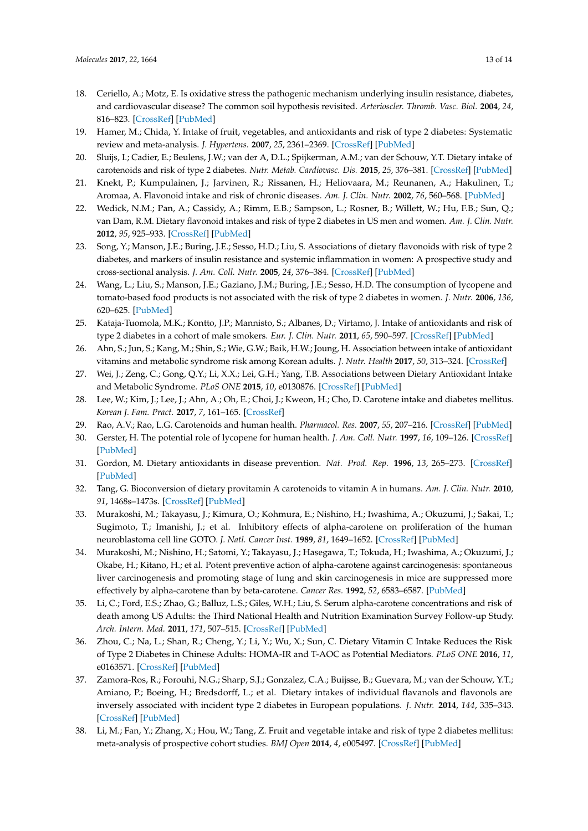- <span id="page-12-0"></span>18. Ceriello, A.; Motz, E. Is oxidative stress the pathogenic mechanism underlying insulin resistance, diabetes, and cardiovascular disease? The common soil hypothesis revisited. *Arterioscler. Thromb. Vasc. Biol.* **2004**, *24*, 816–823. [\[CrossRef\]](http://dx.doi.org/10.1161/01.ATV.0000122852.22604.78) [\[PubMed\]](http://www.ncbi.nlm.nih.gov/pubmed/14976002)
- <span id="page-12-1"></span>19. Hamer, M.; Chida, Y. Intake of fruit, vegetables, and antioxidants and risk of type 2 diabetes: Systematic review and meta-analysis. *J. Hypertens.* **2007**, *25*, 2361–2369. [\[CrossRef\]](http://dx.doi.org/10.1097/HJH.0b013e3282efc214) [\[PubMed\]](http://www.ncbi.nlm.nih.gov/pubmed/17984654)
- <span id="page-12-5"></span>20. Sluijs, I.; Cadier, E.; Beulens, J.W.; van der A, D.L.; Spijkerman, A.M.; van der Schouw, Y.T. Dietary intake of carotenoids and risk of type 2 diabetes. *Nutr. Metab. Cardiovasc. Dis.* **2015**, *25*, 376–381. [\[CrossRef\]](http://dx.doi.org/10.1016/j.numecd.2014.12.008) [\[PubMed\]](http://www.ncbi.nlm.nih.gov/pubmed/25716098)
- <span id="page-12-17"></span>21. Knekt, P.; Kumpulainen, J.; Jarvinen, R.; Rissanen, H.; Heliovaara, M.; Reunanen, A.; Hakulinen, T.; Aromaa, A. Flavonoid intake and risk of chronic diseases. *Am. J. Clin. Nutr.* **2002**, *76*, 560–568. [\[PubMed\]](http://www.ncbi.nlm.nih.gov/pubmed/12198000)
- <span id="page-12-2"></span>22. Wedick, N.M.; Pan, A.; Cassidy, A.; Rimm, E.B.; Sampson, L.; Rosner, B.; Willett, W.; Hu, F.B.; Sun, Q.; van Dam, R.M. Dietary flavonoid intakes and risk of type 2 diabetes in US men and women. *Am. J. Clin. Nutr.* **2012**, *95*, 925–933. [\[CrossRef\]](http://dx.doi.org/10.3945/ajcn.111.028894) [\[PubMed\]](http://www.ncbi.nlm.nih.gov/pubmed/22357723)
- <span id="page-12-3"></span>23. Song, Y.; Manson, J.E.; Buring, J.E.; Sesso, H.D.; Liu, S. Associations of dietary flavonoids with risk of type 2 diabetes, and markers of insulin resistance and systemic inflammation in women: A prospective study and cross-sectional analysis. *J. Am. Coll. Nutr.* **2005**, *24*, 376–384. [\[CrossRef\]](http://dx.doi.org/10.1080/07315724.2005.10719488) [\[PubMed\]](http://www.ncbi.nlm.nih.gov/pubmed/16192263)
- 24. Wang, L.; Liu, S.; Manson, J.E.; Gaziano, J.M.; Buring, J.E.; Sesso, H.D. The consumption of lycopene and tomato-based food products is not associated with the risk of type 2 diabetes in women. *J. Nutr.* **2006**, *136*, 620–625. [\[PubMed\]](http://www.ncbi.nlm.nih.gov/pubmed/16484534)
- <span id="page-12-4"></span>25. Kataja-Tuomola, M.K.; Kontto, J.P.; Mannisto, S.; Albanes, D.; Virtamo, J. Intake of antioxidants and risk of type 2 diabetes in a cohort of male smokers. *Eur. J. Clin. Nutr.* **2011**, *65*, 590–597. [\[CrossRef\]](http://dx.doi.org/10.1038/ejcn.2010.283) [\[PubMed\]](http://www.ncbi.nlm.nih.gov/pubmed/21245884)
- <span id="page-12-6"></span>26. Ahn, S.; Jun, S.; Kang, M.; Shin, S.; Wie, G.W.; Baik, H.W.; Joung, H. Association between intake of antioxidant vitamins and metabolic syndrome risk among Korean adults. *J. Nutr. Health* **2017**, *50*, 313–324. [\[CrossRef\]](http://dx.doi.org/10.4163/jnh.2017.50.4.313)
- <span id="page-12-7"></span>27. Wei, J.; Zeng, C.; Gong, Q.Y.; Li, X.X.; Lei, G.H.; Yang, T.B. Associations between Dietary Antioxidant Intake and Metabolic Syndrome. *PLoS ONE* **2015**, *10*, e0130876. [\[CrossRef\]](http://dx.doi.org/10.1371/journal.pone.0130876) [\[PubMed\]](http://www.ncbi.nlm.nih.gov/pubmed/26098747)
- <span id="page-12-8"></span>28. Lee, W.; Kim, J.; Lee, J.; Ahn, A.; Oh, E.; Choi, J.; Kweon, H.; Cho, D. Carotene intake and diabetes mellitus. *Korean J. Fam. Pract.* **2017**, *7*, 161–165. [\[CrossRef\]](http://dx.doi.org/10.21215/kjfp.2017.7.2.161)
- <span id="page-12-9"></span>29. Rao, A.V.; Rao, L.G. Carotenoids and human health. *Pharmacol. Res.* **2007**, *55*, 207–216. [\[CrossRef\]](http://dx.doi.org/10.1016/j.phrs.2007.01.012) [\[PubMed\]](http://www.ncbi.nlm.nih.gov/pubmed/17349800)
- <span id="page-12-10"></span>30. Gerster, H. The potential role of lycopene for human health. *J. Am. Coll. Nutr.* **1997**, *16*, 109–126. [\[CrossRef\]](http://dx.doi.org/10.1080/07315724.1997.10718661) [\[PubMed\]](http://www.ncbi.nlm.nih.gov/pubmed/9100211)
- <span id="page-12-11"></span>31. Gordon, M. Dietary antioxidants in disease prevention. *Nat. Prod. Rep.* **1996**, *13*, 265–273. [\[CrossRef\]](http://dx.doi.org/10.1039/np9961300265) [\[PubMed\]](http://www.ncbi.nlm.nih.gov/pubmed/8760864)
- <span id="page-12-12"></span>32. Tang, G. Bioconversion of dietary provitamin A carotenoids to vitamin A in humans. *Am. J. Clin. Nutr.* **2010**, *91*, 1468s–1473s. [\[CrossRef\]](http://dx.doi.org/10.3945/ajcn.2010.28674G) [\[PubMed\]](http://www.ncbi.nlm.nih.gov/pubmed/20200262)
- <span id="page-12-13"></span>33. Murakoshi, M.; Takayasu, J.; Kimura, O.; Kohmura, E.; Nishino, H.; Iwashima, A.; Okuzumi, J.; Sakai, T.; Sugimoto, T.; Imanishi, J.; et al. Inhibitory effects of alpha-carotene on proliferation of the human neuroblastoma cell line GOTO. *J. Natl. Cancer Inst.* **1989**, *81*, 1649–1652. [\[CrossRef\]](http://dx.doi.org/10.1093/jnci/81.21.1649) [\[PubMed\]](http://www.ncbi.nlm.nih.gov/pubmed/2795693)
- <span id="page-12-14"></span>34. Murakoshi, M.; Nishino, H.; Satomi, Y.; Takayasu, J.; Hasegawa, T.; Tokuda, H.; Iwashima, A.; Okuzumi, J.; Okabe, H.; Kitano, H.; et al. Potent preventive action of alpha-carotene against carcinogenesis: spontaneous liver carcinogenesis and promoting stage of lung and skin carcinogenesis in mice are suppressed more effectively by alpha-carotene than by beta-carotene. *Cancer Res.* **1992**, *52*, 6583–6587. [\[PubMed\]](http://www.ncbi.nlm.nih.gov/pubmed/1423303)
- <span id="page-12-15"></span>35. Li, C.; Ford, E.S.; Zhao, G.; Balluz, L.S.; Giles, W.H.; Liu, S. Serum alpha-carotene concentrations and risk of death among US Adults: the Third National Health and Nutrition Examination Survey Follow-up Study. *Arch. Intern. Med.* **2011**, *171*, 507–515. [\[CrossRef\]](http://dx.doi.org/10.1001/archinternmed.2010.440) [\[PubMed\]](http://www.ncbi.nlm.nih.gov/pubmed/21098341)
- <span id="page-12-16"></span>36. Zhou, C.; Na, L.; Shan, R.; Cheng, Y.; Li, Y.; Wu, X.; Sun, C. Dietary Vitamin C Intake Reduces the Risk of Type 2 Diabetes in Chinese Adults: HOMA-IR and T-AOC as Potential Mediators. *PLoS ONE* **2016**, *11*, e0163571. [\[CrossRef\]](http://dx.doi.org/10.1371/journal.pone.0163571) [\[PubMed\]](http://www.ncbi.nlm.nih.gov/pubmed/27685994)
- <span id="page-12-18"></span>37. Zamora-Ros, R.; Forouhi, N.G.; Sharp, S.J.; Gonzalez, C.A.; Buijsse, B.; Guevara, M.; van der Schouw, Y.T.; Amiano, P.; Boeing, H.; Bredsdorff, L.; et al. Dietary intakes of individual flavanols and flavonols are inversely associated with incident type 2 diabetes in European populations. *J. Nutr.* **2014**, *144*, 335–343. [\[CrossRef\]](http://dx.doi.org/10.3945/jn.113.184945) [\[PubMed\]](http://www.ncbi.nlm.nih.gov/pubmed/24368432)
- <span id="page-12-19"></span>38. Li, M.; Fan, Y.; Zhang, X.; Hou, W.; Tang, Z. Fruit and vegetable intake and risk of type 2 diabetes mellitus: meta-analysis of prospective cohort studies. *BMJ Open* **2014**, *4*, e005497. [\[CrossRef\]](http://dx.doi.org/10.1136/bmjopen-2014-005497) [\[PubMed\]](http://www.ncbi.nlm.nih.gov/pubmed/25377009)